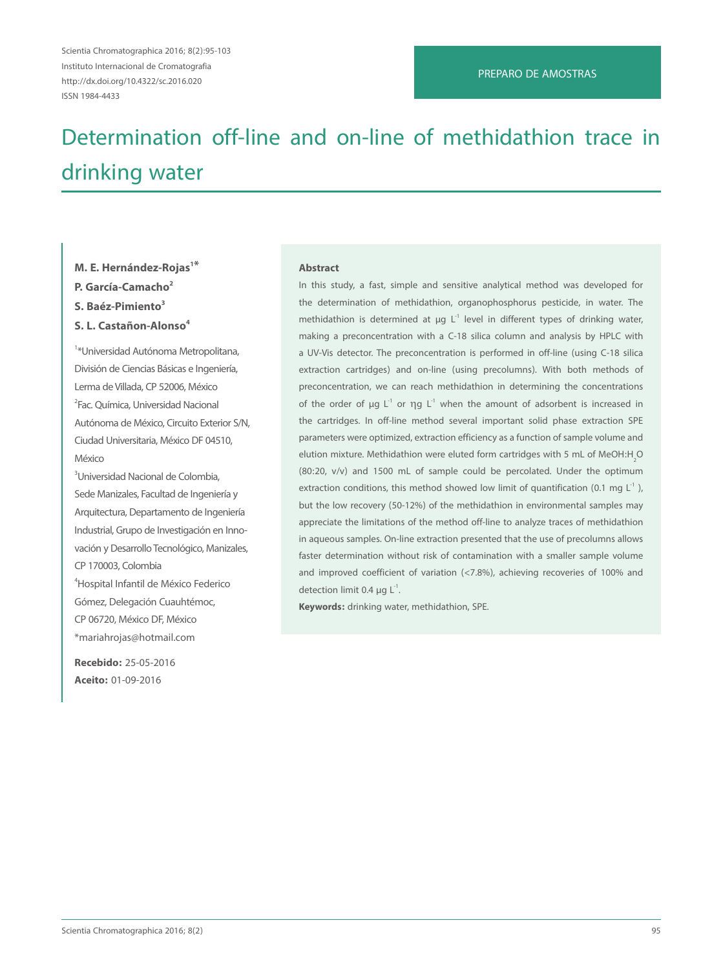#### PREPARO DE AMOSTRAS

# Determination off-line and on-line of methidathion trace in drinking water

# **M. E. Hernández-Rojas1\* P. García-Camacho2 S. Baéz-Pimiento3 S. L. Castañon-Alonso4**

1 \*Universidad Autónoma Metropolitana, División de Ciencias Básicas e Ingeniería, Lerma de Villada, CP 52006, México 2 Fac. Química, Universidad Nacional Autónoma de México, Circuito Exterior S/N, Ciudad Universitaria, México DF 04510, **México** 

3 Universidad Nacional de Colombia, Sede Manizales, Facultad de Ingeniería y Arquitectura, Departamento de Ingeniería Industrial, Grupo de Investigación en Innovación y Desarrollo Tecnológico, Manizales, CP 170003, Colombia 4 Hospital Infantil de México Federico

Gómez, Delegación Cuauhtémoc, CP 06720, México DF, México \*mariahrojas@hotmail.com

**Recebido:** 25-05-2016 **Aceito:** 01-09-2016

#### **Abstract**

In this study, a fast, simple and sensitive analytical method was developed for the determination of methidathion, organophosphorus pesticide, in water. The methidathion is determined at  $\mu q L^1$  level in different types of drinking water, making a preconcentration with a C-18 silica column and analysis by HPLC with a UV-Vis detector. The preconcentration is performed in off-line (using C-18 silica extraction cartridges) and on-line (using precolumns). With both methods of preconcentration, we can reach methidathion in determining the concentrations of the order of  $\mu q L^1$  or  $\eta q L^1$  when the amount of adsorbent is increased in the cartridges. In off-line method several important solid phase extraction SPE parameters were optimized, extraction efficiency as a function of sample volume and elution mixture. Methidathion were eluted form cartridges with 5 mL of MeOH:H<sub>2</sub>O (80:20, v/v) and 1500 mL of sample could be percolated. Under the optimum extraction conditions, this method showed low limit of quantification (0.1 mg  $L^{-1}$  ), but the low recovery (50-12%) of the methidathion in environmental samples may appreciate the limitations of the method off-line to analyze traces of methidathion in aqueous samples. On-line extraction presented that the use of precolumns allows faster determination without risk of contamination with a smaller sample volume and improved coefficient of variation (<7.8%), achieving recoveries of 100% and detection limit 0.4  $\mu$ g L<sup>-1</sup>.

**Keywords:** drinking water, methidathion, SPE.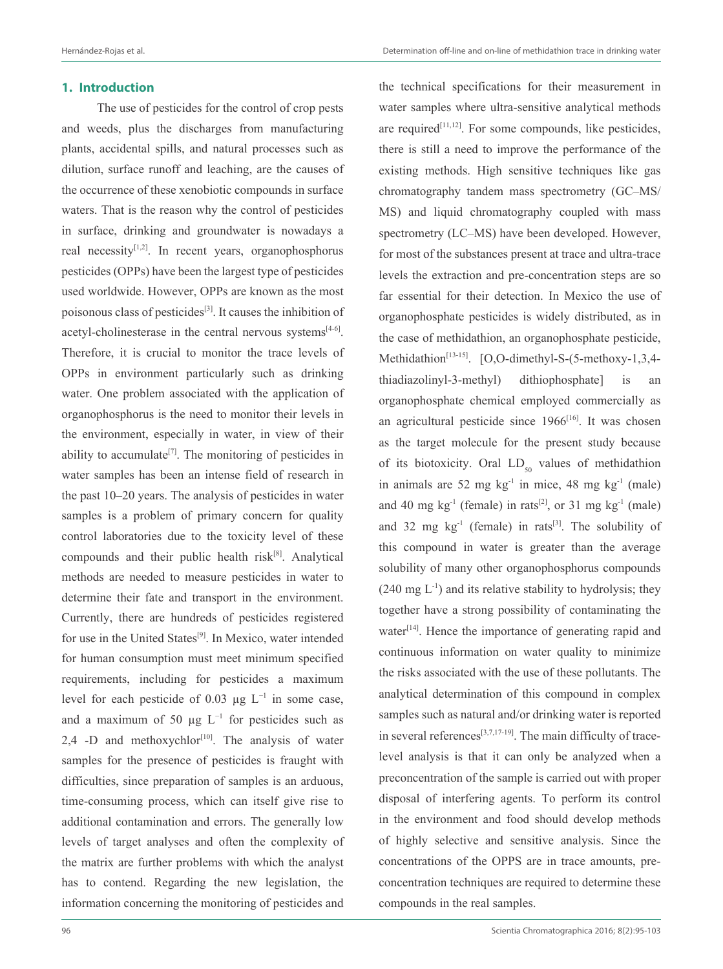#### **1. Introduction**

The use of pesticides for the control of crop pests and weeds, plus the discharges from manufacturing plants, accidental spills, and natural processes such as dilution, surface runoff and leaching, are the causes of the occurrence of these xenobiotic compounds in surface waters. That is the reason why the control of pesticides in surface, drinking and groundwater is nowadays a real necessity $[1,2]$ . In recent years, organophosphorus pesticides (OPPs) have been the largest type of pesticides used worldwide. However, OPPs are known as the most poisonous class of pesticides<sup>[3]</sup>. It causes the inhibition of acetyl-cholinesterase in the central nervous systems $[4-6]$ . Therefore, it is crucial to monitor the trace levels of OPPs in environment particularly such as drinking water. One problem associated with the application of organophosphorus is the need to monitor their levels in the environment, especially in water, in view of their ability to accumulate<sup>[7]</sup>. The monitoring of pesticides in water samples has been an intense field of research in the past 10–20 years. The analysis of pesticides in water samples is a problem of primary concern for quality control laboratories due to the toxicity level of these compounds and their public health risk<sup>[8]</sup>. Analytical methods are needed to measure pesticides in water to determine their fate and transport in the environment. Currently, there are hundreds of pesticides registered for use in the United States<sup>[9]</sup>. In Mexico, water intended for human consumption must meet minimum specified requirements, including for pesticides a maximum level for each pesticide of 0.03 µg  $L^{-1}$  in some case, and a maximum of 50  $\mu$ g L<sup>-1</sup> for pesticides such as 2,4 -D and methoxychlor $[10]$ . The analysis of water samples for the presence of pesticides is fraught with difficulties, since preparation of samples is an arduous, time-consuming process, which can itself give rise to additional contamination and errors. The generally low levels of target analyses and often the complexity of the matrix are further problems with which the analyst has to contend. Regarding the new legislation, the information concerning the monitoring of pesticides and

the technical specifications for their measurement in

water samples where ultra-sensitive analytical methods are required $[11,12]$ . For some compounds, like pesticides, there is still a need to improve the performance of the existing methods. High sensitive techniques like gas chromatography tandem mass spectrometry (GC–MS/ MS) and liquid chromatography coupled with mass spectrometry (LC–MS) have been developed. However, for most of the substances present at trace and ultra-trace levels the extraction and pre-concentration steps are so far essential for their detection. In Mexico the use of organophosphate pesticides is widely distributed, as in the case of methidathion, an organophosphate pesticide, Methidathion<sup>[13-15]</sup>. [O,O-dimethyl-S-(5-methoxy-1,3,4thiadiazolinyl-3-methyl) dithiophosphate] is an organophosphate chemical employed commercially as an agricultural pesticide since  $1966^{[16]}$ . It was chosen as the target molecule for the present study because of its biotoxicity. Oral  $LD_{50}$  values of methidathion in animals are 52 mg  $kg^{-1}$  in mice, 48 mg  $kg^{-1}$  (male) and 40 mg kg<sup>-1</sup> (female) in rats<sup>[2]</sup>, or 31 mg kg<sup>-1</sup> (male) and 32 mg  $kg^{-1}$  (female) in rats<sup>[3]</sup>. The solubility of this compound in water is greater than the average solubility of many other organophosphorus compounds  $(240 \text{ mg } L^{-1})$  and its relative stability to hydrolysis; they together have a strong possibility of contaminating the water $[14]$ . Hence the importance of generating rapid and continuous information on water quality to minimize the risks associated with the use of these pollutants. The analytical determination of this compound in complex samples such as natural and/or drinking water is reported in several references<sup>[3,7,17-19]</sup>. The main difficulty of tracelevel analysis is that it can only be analyzed when a preconcentration of the sample is carried out with proper disposal of interfering agents. To perform its control in the environment and food should develop methods of highly selective and sensitive analysis. Since the concentrations of the OPPS are in trace amounts, preconcentration techniques are required to determine these compounds in the real samples.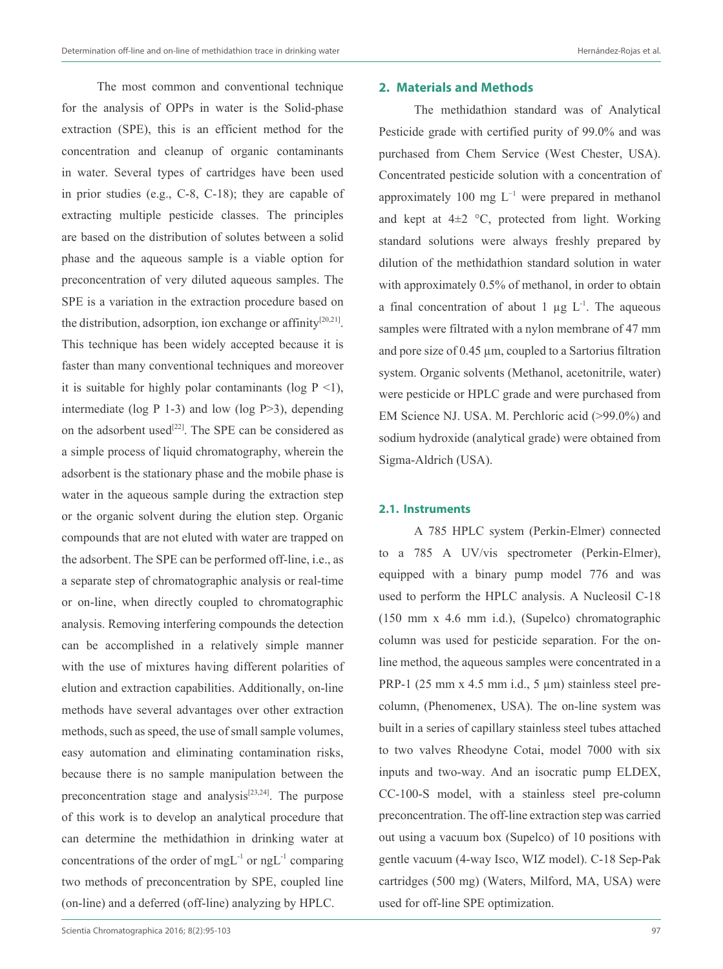The most common and conventional technique for the analysis of OPPs in water is the Solid-phase extraction (SPE), this is an efficient method for the concentration and cleanup of organic contaminants in water. Several types of cartridges have been used in prior studies (e.g., C-8, C-18); they are capable of extracting multiple pesticide classes. The principles are based on the distribution of solutes between a solid phase and the aqueous sample is a viable option for preconcentration of very diluted aqueous samples. The SPE is a variation in the extraction procedure based on the distribution, adsorption, ion exchange or affinity<sup>[20,21]</sup>. This technique has been widely accepted because it is faster than many conventional techniques and moreover it is suitable for highly polar contaminants (log  $P \le 1$ ), intermediate (log  $P$  1-3) and low (log  $P > 3$ ), depending on the adsorbent used<sup>[22]</sup>. The SPE can be considered as a simple process of liquid chromatography, wherein the adsorbent is the stationary phase and the mobile phase is water in the aqueous sample during the extraction step or the organic solvent during the elution step. Organic compounds that are not eluted with water are trapped on the adsorbent. The SPE can be performed off-line, i.e., as a separate step of chromatographic analysis or real-time or on-line, when directly coupled to chromatographic analysis. Removing interfering compounds the detection can be accomplished in a relatively simple manner with the use of mixtures having different polarities of elution and extraction capabilities. Additionally, on-line methods have several advantages over other extraction methods, such as speed, the use of small sample volumes, easy automation and eliminating contamination risks, because there is no sample manipulation between the preconcentration stage and analysis<sup>[23,24]</sup>. The purpose of this work is to develop an analytical procedure that can determine the methidathion in drinking water at concentrations of the order of mgL $^{-1}$  or ngL $^{-1}$  comparing two methods of preconcentration by SPE, coupled line (on-line) and a deferred (off-line) analyzing by HPLC.

# **2. Materials and Methods**

The methidathion standard was of Analytical Pesticide grade with certified purity of 99.0% and was purchased from Chem Service (West Chester, USA). Concentrated pesticide solution with a concentration of approximately 100 mg  $L^{-1}$  were prepared in methanol and kept at  $4\pm2$  °C, protected from light. Working standard solutions were always freshly prepared by dilution of the methidathion standard solution in water with approximately 0.5% of methanol, in order to obtain a final concentration of about 1  $\mu$ g L<sup>-1</sup>. The aqueous samples were filtrated with a nylon membrane of 47 mm and pore size of 0.45  $\mu$ m, coupled to a Sartorius filtration system. Organic solvents (Methanol, acetonitrile, water) were pesticide or HPLC grade and were purchased from EM Science NJ. USA. M. Perchloric acid (>99.0%) and sodium hydroxide (analytical grade) were obtained from Sigma-Aldrich (USA).

#### **2.1. Instruments**

A 785 HPLC system (Perkin-Elmer) connected to a 785 A UV/vis spectrometer (Perkin-Elmer), equipped with a binary pump model 776 and was used to perform the HPLC analysis. A Nucleosil C-18 (150 mm x 4.6 mm i.d.), (Supelco) chromatographic column was used for pesticide separation. For the online method, the aqueous samples were concentrated in a PRP-1 (25 mm x 4.5 mm i.d., 5 µm) stainless steel precolumn, (Phenomenex, USA). The on-line system was built in a series of capillary stainless steel tubes attached to two valves Rheodyne Cotai, model 7000 with six inputs and two-way. And an isocratic pump ELDEX, CC-100-S model, with a stainless steel pre-column preconcentration. The off-line extraction step was carried out using a vacuum box (Supelco) of 10 positions with gentle vacuum (4-way Isco, WIZ model). C-18 Sep-Pak cartridges (500 mg) (Waters, Milford, MA, USA) were used for off-line SPE optimization.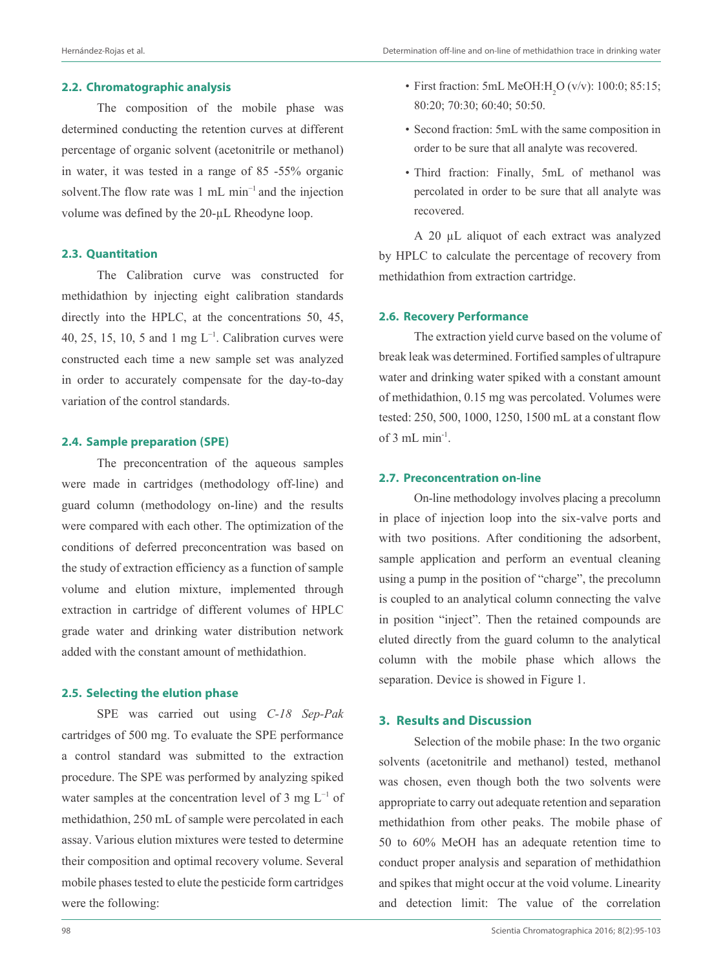#### **2.2. Chromatographic analysis**

The composition of the mobile phase was determined conducting the retention curves at different percentage of organic solvent (acetonitrile or methanol) in water, it was tested in a range of 85 -55% organic solvent.The flow rate was 1 mL min−1 and the injection volume was defined by the 20-µL Rheodyne loop.

### **2.3. Quantitation**

The Calibration curve was constructed for methidathion by injecting eight calibration standards directly into the HPLC, at the concentrations 50, 45, 40, 25, 15, 10, 5 and 1 mg  $L^{-1}$ . Calibration curves were constructed each time a new sample set was analyzed in order to accurately compensate for the day-to-day variation of the control standards.

#### **2.4. Sample preparation (SPE)**

The preconcentration of the aqueous samples were made in cartridges (methodology off-line) and guard column (methodology on-line) and the results were compared with each other. The optimization of the conditions of deferred preconcentration was based on the study of extraction efficiency as a function of sample volume and elution mixture, implemented through extraction in cartridge of different volumes of HPLC grade water and drinking water distribution network added with the constant amount of methidathion.

#### **2.5. Selecting the elution phase**

SPE was carried out using *C-18 Sep-Pak*  cartridges of 500 mg. To evaluate the SPE performance a control standard was submitted to the extraction procedure. The SPE was performed by analyzing spiked water samples at the concentration level of 3 mg L−1 of methidathion, 250 mL of sample were percolated in each assay. Various elution mixtures were tested to determine their composition and optimal recovery volume. Several mobile phases tested to elute the pesticide form cartridges were the following:

- First fraction: 5mL MeOH: $H_2O$  (v/v): 100:0; 85:15; 80:20; 70:30; 60:40; 50:50.
- Second fraction: 5mL with the same composition in order to be sure that all analyte was recovered.
- Third fraction: Finally, 5mL of methanol was percolated in order to be sure that all analyte was recovered.

A 20 µL aliquot of each extract was analyzed by HPLC to calculate the percentage of recovery from methidathion from extraction cartridge.

#### **2.6. Recovery Performance**

The extraction yield curve based on the volume of break leak was determined. Fortified samples of ultrapure water and drinking water spiked with a constant amount of methidathion, 0.15 mg was percolated. Volumes were tested: 250, 500, 1000, 1250, 1500 mL at a constant flow of  $3 \text{ mL min}^{-1}$ .

#### **2.7. Preconcentration on-line**

On-line methodology involves placing a precolumn in place of injection loop into the six-valve ports and with two positions. After conditioning the adsorbent, sample application and perform an eventual cleaning using a pump in the position of "charge", the precolumn is coupled to an analytical column connecting the valve in position "inject". Then the retained compounds are eluted directly from the guard column to the analytical column with the mobile phase which allows the separation. Device is showed in Figure 1.

## **3. Results and Discussion**

Selection of the mobile phase: In the two organic solvents (acetonitrile and methanol) tested, methanol was chosen, even though both the two solvents were appropriate to carry out adequate retention and separation methidathion from other peaks. The mobile phase of 50 to 60% MeOH has an adequate retention time to conduct proper analysis and separation of methidathion and spikes that might occur at the void volume. Linearity and detection limit: The value of the correlation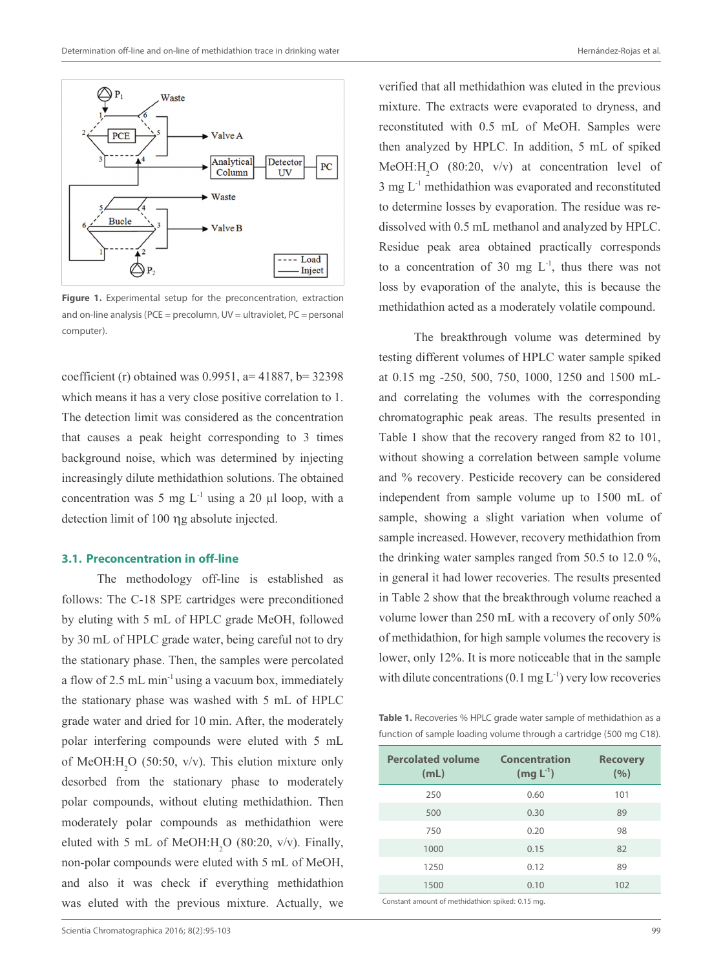

**Figure 1.** Experimental setup for the preconcentration, extraction and on-line analysis ( $PCE = precolumn, UV = ultraviolet, PC = personal$ computer).

coefficient (r) obtained was  $0.9951$ , a= 41887, b= 32398 which means it has a very close positive correlation to 1. The detection limit was considered as the concentration that causes a peak height corresponding to 3 times background noise, which was determined by injecting increasingly dilute methidathion solutions. The obtained concentration was 5 mg  $L^{-1}$  using a 20 µl loop, with a detection limit of 100 ηg absolute injected.

#### **3.1. Preconcentration in off-line**

The methodology off-line is established as follows: The C-18 SPE cartridges were preconditioned by eluting with 5 mL of HPLC grade MeOH, followed by 30 mL of HPLC grade water, being careful not to dry the stationary phase. Then, the samples were percolated a flow of  $2.5$  mL min<sup>-1</sup> using a vacuum box, immediately the stationary phase was washed with 5 mL of HPLC grade water and dried for 10 min. After, the moderately polar interfering compounds were eluted with 5 mL of MeOH: $H_2O$  (50:50, v/v). This elution mixture only desorbed from the stationary phase to moderately polar compounds, without eluting methidathion. Then moderately polar compounds as methidathion were eluted with 5 mL of MeOH: $H_2O$  (80:20, v/v). Finally, non-polar compounds were eluted with 5 mL of MeOH, and also it was check if everything methidathion was eluted with the previous mixture. Actually, we

verified that all methidathion was eluted in the previous mixture. The extracts were evaporated to dryness, and reconstituted with 0.5 mL of MeOH. Samples were then analyzed by HPLC. In addition, 5 mL of spiked MeOH: $H_2O$  (80:20, v/v) at concentration level of  $3 \text{ mg } L^{-1}$  methidathion was evaporated and reconstituted to determine losses by evaporation. The residue was redissolved with 0.5 mL methanol and analyzed by HPLC. Residue peak area obtained practically corresponds to a concentration of 30 mg  $L^{-1}$ , thus there was not loss by evaporation of the analyte, this is because the methidathion acted as a moderately volatile compound.

The breakthrough volume was determined by testing different volumes of HPLC water sample spiked at 0.15 mg -250, 500, 750, 1000, 1250 and 1500 mLand correlating the volumes with the corresponding chromatographic peak areas. The results presented in Table 1 show that the recovery ranged from 82 to 101, without showing a correlation between sample volume and % recovery. Pesticide recovery can be considered independent from sample volume up to 1500 mL of sample, showing a slight variation when volume of sample increased. However, recovery methidathion from the drinking water samples ranged from 50.5 to 12.0 %, in general it had lower recoveries. The results presented in Table 2 show that the breakthrough volume reached a volume lower than 250 mL with a recovery of only 50% of methidathion, for high sample volumes the recovery is lower, only 12%. It is more noticeable that in the sample with dilute concentrations  $(0.1 \text{ mg L}^{-1})$  very low recoveries

**Table 1.** Recoveries % HPLC grade water sample of methidathion as a function of sample loading volume through a cartridge (500 mg C18).

| <b>Percolated volume</b><br>(mL) | Concentration<br>$(mg L-1)$ | <b>Recovery</b><br>(%) |
|----------------------------------|-----------------------------|------------------------|
| 250                              | 0.60                        | 101                    |
| 500                              | 0.30                        | 89                     |
| 750                              | 0.20                        | 98                     |
| 1000                             | 0.15                        | 82                     |
| 1250                             | 0.12                        | 89                     |
| 1500                             | 0.10                        | 102                    |

Constant amount of methidathion spiked: 0.15 mg.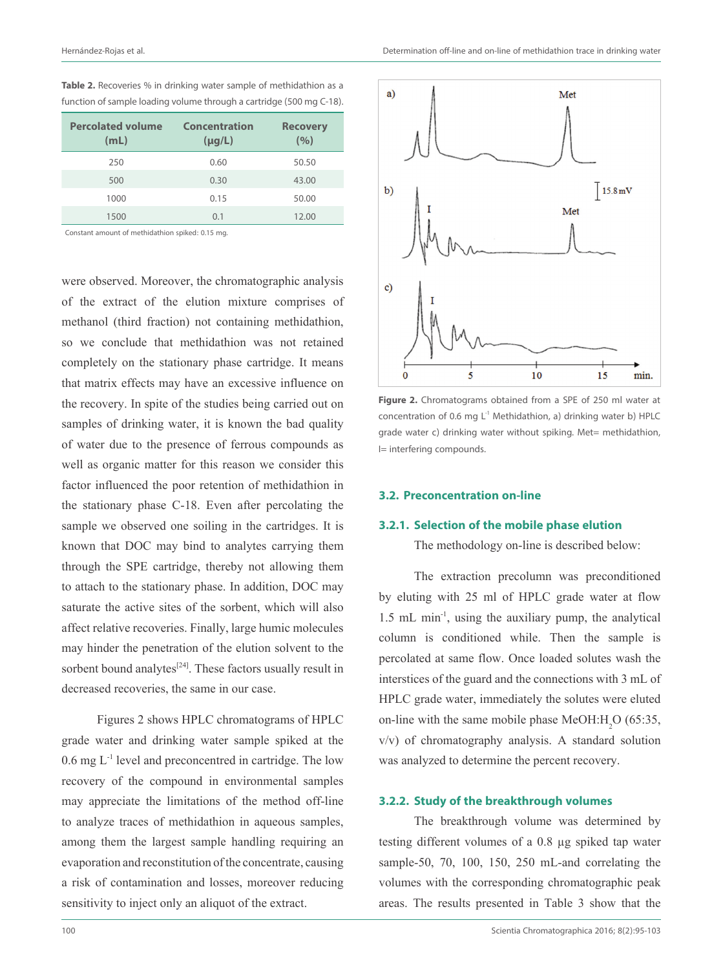| <b>Percolated volume</b><br>(mL) | <b>Concentration</b><br>$(\mu g/L)$ | <b>Recovery</b><br>(9/0) |
|----------------------------------|-------------------------------------|--------------------------|
| 250                              | 0.60                                | 50.50                    |
| 500                              | 0.30                                | 43.00                    |
| 1000                             | 0.15                                | 50.00                    |
| 1500                             | 0.1                                 | 12.00                    |

**Table 2.** Recoveries % in drinking water sample of methidathion as a function of sample loading volume through a cartridge (500 mg C-18).

Constant amount of methidathion spiked: 0.15 mg.

were observed. Moreover, the chromatographic analysis of the extract of the elution mixture comprises of methanol (third fraction) not containing methidathion, so we conclude that methidathion was not retained completely on the stationary phase cartridge. It means that matrix effects may have an excessive influence on the recovery. In spite of the studies being carried out on samples of drinking water, it is known the bad quality of water due to the presence of ferrous compounds as well as organic matter for this reason we consider this factor influenced the poor retention of methidathion in the stationary phase C-18. Even after percolating the sample we observed one soiling in the cartridges. It is known that DOC may bind to analytes carrying them through the SPE cartridge, thereby not allowing them to attach to the stationary phase. In addition, DOC may saturate the active sites of the sorbent, which will also affect relative recoveries. Finally, large humic molecules may hinder the penetration of the elution solvent to the sorbent bound analytes $[24]$ . These factors usually result in decreased recoveries, the same in our case.

Figures 2 shows HPLC chromatograms of HPLC grade water and drinking water sample spiked at the 0.6 mg L-1 level and preconcentred in cartridge. The low recovery of the compound in environmental samples may appreciate the limitations of the method off-line to analyze traces of methidathion in aqueous samples, among them the largest sample handling requiring an evaporation and reconstitution of the concentrate, causing a risk of contamination and losses, moreover reducing sensitivity to inject only an aliquot of the extract.



**Figure 2.** Chromatograms obtained from a SPE of 250 ml water at concentration of 0.6 mg  $L^1$  Methidathion, a) drinking water b) HPLC grade water c) drinking water without spiking. Met= methidathion, I= interfering compounds.

### **3.2. Preconcentration on-line**

#### **3.2.1. Selection of the mobile phase elution**

The methodology on-line is described below:

The extraction precolumn was preconditioned by eluting with 25 ml of HPLC grade water at flow 1.5 mL min-1, using the auxiliary pump, the analytical column is conditioned while. Then the sample is percolated at same flow. Once loaded solutes wash the interstices of the guard and the connections with 3 mL of HPLC grade water, immediately the solutes were eluted on-line with the same mobile phase MeOH: $H_2O(65:35)$ , v/v) of chromatography analysis. A standard solution was analyzed to determine the percent recovery.

### **3.2.2. Study of the breakthrough volumes**

The breakthrough volume was determined by testing different volumes of a 0.8 µg spiked tap water sample-50, 70, 100, 150, 250 mL-and correlating the volumes with the corresponding chromatographic peak areas. The results presented in Table 3 show that the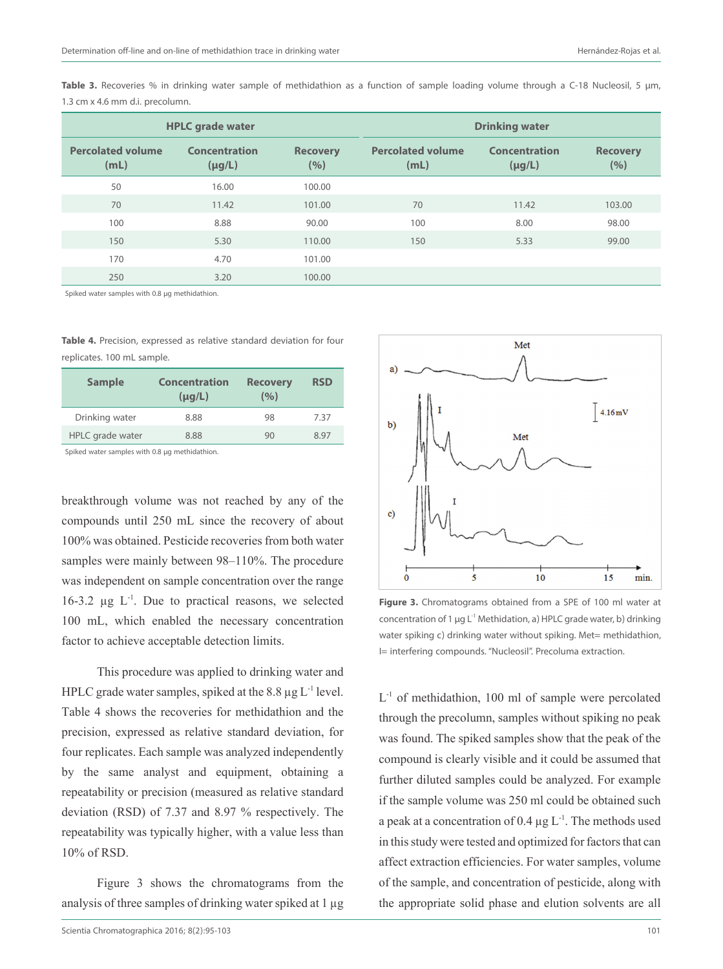Table 3. Recoveries % in drinking water sample of methidathion as a function of sample loading volume through a C-18 Nucleosil, 5 µm, 1.3 cm x 4.6 mm d.i. precolumn.

| <b>HPLC</b> grade water          |                              | <b>Drinking water</b>  |                                  |                                     |                        |
|----------------------------------|------------------------------|------------------------|----------------------------------|-------------------------------------|------------------------|
| <b>Percolated volume</b><br>(mL) | Concentration<br>$(\mu g/L)$ | <b>Recovery</b><br>(%) | <b>Percolated volume</b><br>(mL) | <b>Concentration</b><br>$(\mu g/L)$ | <b>Recovery</b><br>(%) |
| 50                               | 16.00                        | 100.00                 |                                  |                                     |                        |
| 70                               | 11.42                        | 101.00                 | 70                               | 11.42                               | 103.00                 |
| 100                              | 8.88                         | 90.00                  | 100                              | 8.00                                | 98.00                  |
| 150                              | 5.30                         | 110.00                 | 150                              | 5.33                                | 99.00                  |
| 170                              | 4.70                         | 101.00                 |                                  |                                     |                        |
| 250                              | 3.20                         | 100.00                 |                                  |                                     |                        |

Spiked water samples with 0.8 ug methidathion.

**Table 4.** Precision, expressed as relative standard deviation for four replicates. 100 mL sample.

| <b>Sample</b>    | Concentration<br>$(\mu q/L)$ | <b>Recovery</b><br>(9/0) | <b>RSD</b> |
|------------------|------------------------------|--------------------------|------------|
| Drinking water   | 8.88                         | 98                       | 7.37       |
| HPLC grade water | 8.88                         | 90                       | 8.97       |

Spiked water samples with 0.8 ug methidathion.

breakthrough volume was not reached by any of the compounds until 250 mL since the recovery of about 100% was obtained. Pesticide recoveries from both water samples were mainly between 98–110%. The procedure was independent on sample concentration over the range  $16-3.2$  ug  $L^{-1}$ . Due to practical reasons, we selected 100 mL, which enabled the necessary concentration factor to achieve acceptable detection limits.

This procedure was applied to drinking water and HPLC grade water samples, spiked at the  $8.8 \mu g L^{-1}$  level. Table 4 shows the recoveries for methidathion and the precision, expressed as relative standard deviation, for four replicates. Each sample was analyzed independently by the same analyst and equipment, obtaining a repeatability or precision (measured as relative standard deviation (RSD) of 7.37 and 8.97 % respectively. The repeatability was typically higher, with a value less than 10% of RSD.

Figure 3 shows the chromatograms from the analysis of three samples of drinking water spiked at 1  $\mu$ g



**Figure 3.** Chromatograms obtained from a SPE of 100 ml water at concentration of 1  $\mu$ g L<sup>-1</sup> Methidation, a) HPLC grade water, b) drinking water spiking c) drinking water without spiking. Met= methidathion, I= interfering compounds. "Nucleosil". Precoluma extraction.

 $L^{-1}$  of methidathion, 100 ml of sample were percolated through the precolumn, samples without spiking no peak was found. The spiked samples show that the peak of the compound is clearly visible and it could be assumed that further diluted samples could be analyzed. For example if the sample volume was 250 ml could be obtained such a peak at a concentration of 0.4  $\mu$ g L<sup>-1</sup>. The methods used in this study were tested and optimized for factors that can affect extraction efficiencies. For water samples, volume of the sample, and concentration of pesticide, along with the appropriate solid phase and elution solvents are all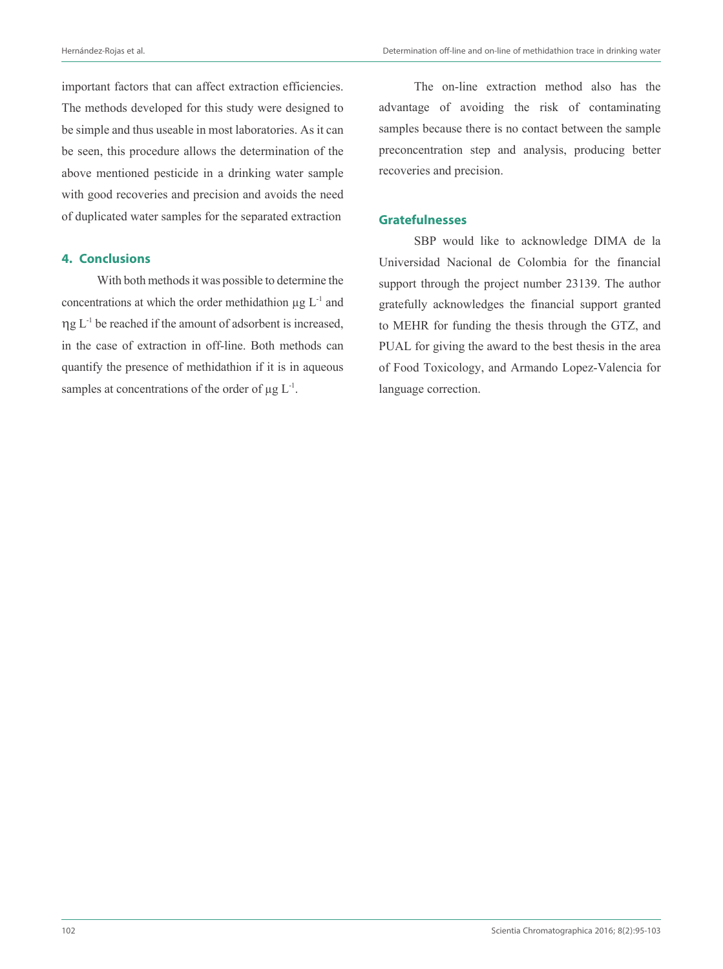important factors that can affect extraction efficiencies. The methods developed for this study were designed to be simple and thus useable in most laboratories. As it can be seen, this procedure allows the determination of the above mentioned pesticide in a drinking water sample with good recoveries and precision and avoids the need of duplicated water samples for the separated extraction

#### **4. Conclusions**

With both methods it was possible to determine the concentrations at which the order methidathion  $\mu$ g L<sup>-1</sup> and  $\eta g L^{-1}$  be reached if the amount of adsorbent is increased, in the case of extraction in off-line. Both methods can quantify the presence of methidathion if it is in aqueous samples at concentrations of the order of  $\mu$ g L<sup>-1</sup>.

The on-line extraction method also has the advantage of avoiding the risk of contaminating samples because there is no contact between the sample preconcentration step and analysis, producing better recoveries and precision.

# **Gratefulnesses**

SBP would like to acknowledge DIMA de la Universidad Nacional de Colombia for the financial support through the project number 23139. The author gratefully acknowledges the financial support granted to MEHR for funding the thesis through the GTZ, and PUAL for giving the award to the best thesis in the area of Food Toxicology, and Armando Lopez-Valencia for language correction.